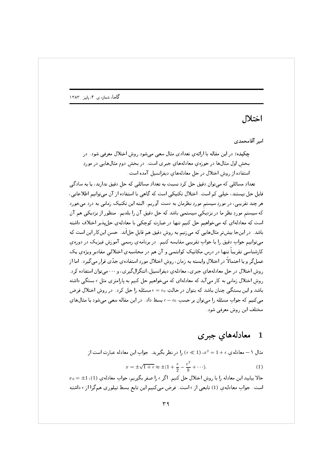## اختلال 560\$

(-6: -

چکیده: در این مقاله با ارائهیِ تعدادی مثال سعی میشود روشِ اختلال معرفی شود. در بخشِ اول مثالها در حوزەي معادلەهاي جبرى است. در بخشِ دوم مثالهايى در موردِ استفاده از روشِ اختلال در حلِ معادلههاي ديفرانسيل آمده است.

 $\sim$  5  $\sim$  5  $\sim$  6  $\sim$  4  $\sim$  5  $\sim$  6  $\sim$  4  $\sim$  5  $\sim$  5  $\sim$  5  $\sim$  5  $\sim$  5  $\sim$  5  $\sim$  5  $\sim$  5  $\sim$  5  $\sim$  5  $\sim$  5  $\sim$  5  $\sim$  5  $\sim$  5  $\sim$  5  $\sim$  5  $\sim$  5  $\sim$  5  $\sim$  5  $\sim$  5  $\sim$  5  $\sim$  5  $\sim$  5  $\sim$  5  $\sim$ قابل حل نيستند، خيلي كم است. اختلال تكنيكي است كه گاهي با استفاده از آن ميتوانيم اطلاعاتي، و به التحاوي المستقل المركز المستقل المستقل المستقل المستقل المستقل المستقل المستقل المستقل المستقل المستقل ال ⊪ ورکرد کې د د په دې د موسیق کار د موسیق است.<br>ا ن سود التاب المستقل المستقل المستقل المستقل المستقل المستقل المستقل المستقل المستقل المستقل المستقل المستقل ال باشد. در اینجا بیشترِ مثالهایی که میزنیم به روشِ دقیق هم قابلِ حلااند. حسنِ اینکار این است که  $\sim$  5  $\sim$  5  $\sim$  5  $\sim$  5  $\sim$  5  $\sim$  5  $\sim$  5  $\sim$  5  $\sim$  5  $\sim$  5  $\sim$  5  $\sim$  5  $\sim$  5  $\sim$  5  $\sim$  5  $\sim$  5  $\sim$  5  $\sim$  5  $\sim$  5  $\sim$  5  $\sim$  5  $\sim$  5  $\sim$  5  $\sim$  5  $\sim$  5  $\sim$  5  $\sim$  5  $\sim$  5  $\sim$  5  $\sim$  5  $\sim$  5  $\sim$ عارستاسي عثريبا تنتها در درس مانانيات بوانستي و ٥٠ سم در مناناسيا ي المناديي منانيو ويرهي ياب عمل گر و يا احتمالا در اختلالِ وابسته به زمان، روشِ اختلال موردِ استفادهیِ جدّی قرار می گيرد . اما از روشِ اختلال در حلِ معادلههاي جبري، معادلهي ديفرانسيل، انتگرالگيري، و ٠٠٠ميتوان استفاده كرد . روشِ اختلال زمانی به کار می آید که معادلهای که میخواهیم حل کنیم به پارامتری مثلِ  $\epsilon$  بستگی داشته باشد و این بستگی چنان باشد که بتوان در حالتِ  $\epsilon=\epsilon_0$  مسئله را حل کرد . در روشِ اختلال فرض میکنیم که جوابِ مسئله را میتوان بر حسبِ  $\epsilon-\epsilon_0$  بسط داد. در این مقاله سعی میشود با مثالهایِ 7
 >#0 S - J =H2<0

## $\blacksquare$ # -7-- -

مثالِ ١ — معادله ي $\epsilon \in (1 \times 2)$ ، (1 $\epsilon \ll 1$  )، را در نظر بگيريد. جوابِ اين معادله عبارت است از

$$
x = \pm \sqrt{1 + \epsilon} \approx \pm (1 + \frac{\epsilon}{2} - \frac{\epsilon^2}{8} + \cdots). \tag{1}
$$

 $x_0 = \pm 1$  ، حالا بياييد اين معادله را با روشِ اختلال حل كنيم. اگر  $\epsilon$  را صفر بگيريم، جوابِ معادلهي (1)،  $\pm 1$ +2 & ; 6: .- <sup>H</sup> L h 4 L J 6 &>0 ~ # 7( & ; > L CE . +D 0 @ 7(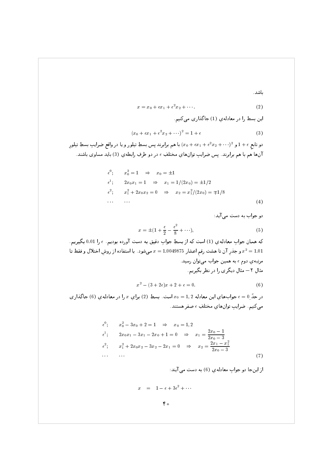باشد.

$$
x = x_0 + \epsilon x_1 + \epsilon^2 x_2 + \cdots \tag{2}
$$

این بسط را در معادلهی (1) جاگذاری می کنیم.

$$
(x_0 + \epsilon x_1 + \epsilon^2 x_2 + \cdots)^2 = 1 + \epsilon
$$
 (3)

دو تابع  $\epsilon \in (1+\epsilon^2 \, x_2 + \epsilon^2 \, x_2 + \epsilon^2 \, x_1 + \epsilon^2 \, x_2 + \epsilon^2 \, x_2 + \epsilon^2 \, x_1$ دو تابع ع $1+\epsilon$  و  $1+\epsilon$ آنها هم با هم برابرند. پس ضرایب توانهای مختلفِ e در دو طرفِ رابطهی (3) باید مساوی باشند.

$$
\epsilon^{0}; \quad x_{0}^{2} = 1 \Rightarrow x_{0} = \pm 1
$$
\n
$$
\epsilon^{1}; \quad 2x_{0}x_{1} = 1 \Rightarrow x_{1} = 1/(2x_{0}) = \pm 1/2
$$
\n
$$
\epsilon^{2}; \quad x_{1}^{2} + 2x_{0}x_{2} = 0 \Rightarrow x_{2} = x_{1}^{2}/(2x_{0}) = \mp 1/8
$$
\n
$$
\dots \quad \dots \tag{4}
$$

دو جواب به دست می آید:

$$
x = \pm \left(1 + \frac{\epsilon}{2} - \frac{\epsilon^2}{8} + \cdots\right),\tag{5}
$$

که همان جواب معادلهی (1) است که از بسطِ جواب دقیق به دست آورده بودیم.  $\epsilon$  را 0.01 بگیریم. و جذر آن تا هشت رقم اعشار 389990.0 = x میشود. با استفاده از روش اختلال و فقط تا  $x^2 = 1.01$ مرتبه ی دوم e به همین جواب می توان رسید. مثال ۲– مثال دیگری را در نظر بگیریم.

$$
x^2 - (3+2\epsilon)x + 2 + \epsilon = 0.
$$
 (6)

در حدَّ 0 = ، جوابهای این معادله 1,2 =  $x_0 = 1$ است. بسطِ (2) برای  $x$  را در معادله $\epsilon = 0$ ) جاگذاری می کنیم. ضرایب توانهای مختلفِ  $\epsilon$  صفر هستند.

$$
\epsilon^{0}; \qquad x_{0}^{2} - 3x_{0} + 2 = 1 \qquad \Rightarrow \qquad x_{0} = 1, 2
$$
\n
$$
\epsilon^{1}; \qquad 2x_{0}x_{1} - 3x_{1} - 2x_{0} + 1 = 0 \qquad \Rightarrow \qquad x_{1} = \frac{2x_{0} - 1}{2x_{0} - 3}
$$
\n
$$
\epsilon^{2}; \qquad x_{1}^{2} + 2x_{0}x_{2} - 3x_{2} - 2x_{1} = 0 \qquad \Rightarrow \qquad x_{2} = \frac{2x_{1} - x_{1}^{2}}{2x_{0} - 3}
$$
\n
$$
\dots \qquad \dots \qquad (7)
$$

از اینجا دو جواب معادلهی (6) به دست می آیند:

$$
x = 1 - \epsilon + 3\epsilon^2 + \cdots
$$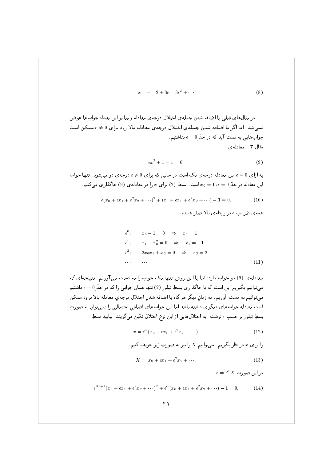$$
x = 2 + 3\epsilon - 3\epsilon^2 + \cdots \tag{8}
$$

در مثالهاي قبلي با اضافه شدنِ جملهي اختلال درجهي معادله و بنا بر اين تعدادِ جوابها عوض نميشد. اما اڭر با اضافه شدنِ جملهي اختلال درجهي معادله بالا رود براي 0 ≠ ¢ ممكن است 762 & K 5 - +& ( + > :@ مثال ۳– معادله ی magnetic contract of the second contract of the second contract of the second contract of the second contract of the second contract of the second contract of the second contract of the second contract of the second contra

$$
\epsilon x^2 + x - 1 = 0. \tag{9}
$$

. ري بين بن راي. بن الري المركز بن ري بن المركز بن المركز بن المركز بن المركز بن المركز بن المركز بن المركز بن این معادله در حد $\iota_0 = 1$  ،  $\iota_0 = 0$  است. ہسطِ (2) براي  $x$  را در معادلهي (9) جا ددارى مى دىيم.

$$
\epsilon(x_0 + \epsilon x_1 + \epsilon^2 x_2 + \cdots)^2 + (x_0 + \epsilon x_1 + \epsilon^2 x_2 + \cdots) - 1 = 0. \tag{10}
$$

ي جي السابق المستقبل المستقبل المستقبل المستقبل المستقبل المستقبل المستقبل المستقبل المستقبل المستقبل المستقبل

$$
\epsilon^{0}; \qquad x_{0} - 1 = 0 \qquad \Rightarrow \qquad x_{0} = 1
$$
\n
$$
\epsilon^{1}; \qquad x_{1} + x_{0}^{2} = 0 \qquad \Rightarrow \qquad x_{1} = -1
$$
\n
$$
\epsilon^{2}; \qquad 2x_{0}x_{1} + x_{2} = 0 \qquad \Rightarrow \qquad x_{2} = 2
$$
\n
$$
\qquad \qquad \cdots \qquad \qquad \cdots \qquad \qquad (11)
$$

 $\frac{1}{2}$  ,  $\frac{1}{2}$  ,  $\frac{1}{2}$  ,  $\frac{1}{2}$  ,  $\frac{1}{2}$  ,  $\frac{1}{2}$  ,  $\frac{1}{2}$  ,  $\frac{1}{2}$  ,  $\frac{1}{2}$  ,  $\frac{1}{2}$  $\mathbb{R}^n$ ی روسی از سرسی است. در سرسی از کار است است از کار می در سرسی است. است است است است است است است است است. است است ا ميتوانيم به دست آوريم. به زبانٍ ديگر هر گاه با اضافه شدنِ اختلال درجهي معادله بالا برود ممكن p - + L>A - >DA25 > #1 . :@ J 0 +2
 . Z . :@ +D0 ( بسطِ تیلور بر حسبِ  $\epsilon$  نوشت . به اختلالهایی از این نوع اختلالِ تکین میگویند . بیایید بسطِ

$$
x = \epsilon^{\alpha}(x_0 + \epsilon x_1 + \epsilon^2 x_2 + \cdots). \tag{12}
$$

را براي  $x$  در نظر بکيريم. ميتوانيم  $\Lambda$  را نيز به صورتِ زير تعريف کنيم.

$$
X := x_0 + \epsilon x_1 + \epsilon^2 x_2 + \cdots \tag{13}
$$

 $x = \epsilon$  در این صورت  $\Delta$ 

$$
\epsilon^{2\alpha+1}(x_0+\epsilon x_1+\epsilon^2 x_2+\cdots)^2+\epsilon^{\alpha}(x_0+\epsilon x_1+\epsilon^2 x_2+\cdots)-1=0.
$$
 (14)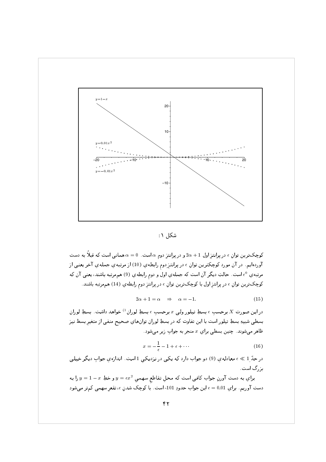

شکل ۱:

کوچکترین توانِ  $\epsilon$  در پرانتز اول  $\alpha+1$  و در پرانتز دوم  $\alpha$  است .  $\alpha=0$  همانی است که قبلاً به دست آوردهايم. در آن مورد كوچكترين توانِ <sub>€</sub> در پرانتزِردوم رابطهي (10) از مرتبهي جملهي آخر يعني از مرتبه ي <sup>0</sup> است. حالتِ ديگر آن است كه جملهي اول و دوم رابطهي (9) هم مرتبه باشند، يعني آن كه کوچکترين توانِ <sub>€</sub> در پرانتزِ اول با کوچکترين توانِ <sub>€</sub> در پرانتزِ دوم رابطهي (14) هممرتبه باشند.

$$
2\alpha + 1 = \alpha \quad \Rightarrow \quad \alpha = -1. \tag{15}
$$

در این صورت X برحسبِ e بسطِ تیلور ولی  $x$  برحسب e بسطِ لوران <sup>1)</sup> خواهد داشت. بسطِ لوران بسطی شبیهِ بسطِ تیلور است با این تفاوت که در بسطِ لوران توانهای صحیح منفی از متغیر بسط نیز ظاهر میشوند. چنین بسطی برای  $x$  منجر به جواب زیر میشود.

$$
x = -\frac{1}{\epsilon} - 1 + \epsilon + \cdots \tag{16}
$$

در حدّ 1 ﴾ ، معادله ي (9) دو جواب دارد كه يكي در نزديكي 1 است. اندازهي جوابِ ديگر خيلي ین گ است.

براي به دست آورنِ جواب كافي است كه محل تقاطع سهمي  $y = \epsilon x^2$  و خطِ $x - 1 - y = y$  را به دست آوريم. براي 0.01 = ، اين جواب حدودِ 101- است. با كوچک شدنِ ،، تقعر سهمي كمتر مي شود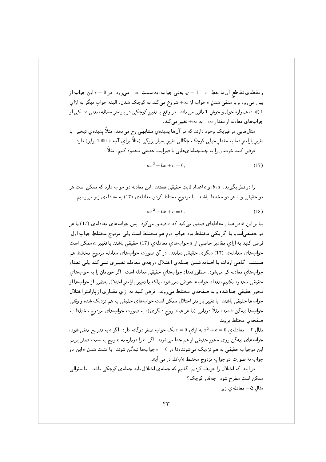و تفطيعي بقاطع أن با حطِّ " $\mu=1-3$  يعني جواب، به سمتِ  $\infty$  - ميرود. در ٥ = ٤ اين جواب أر . ; + Z @ +2 D 7 !K& + &>0 8 <sup>O</sup> ; @ & >%0 ->0 J ا الصحيح عن هم الله عليه عن الله عن الله عن الله عن الله عن الله عنه عن الله عنه عن عنه عنه عنه عنه عنه عنه عن 7 &>0 UL <sup>O</sup> + - ,0 ; +D0 . :@

مثالهایی در فیزیک وجود دارند که در آنها پدیدهیِ مشابهی رخ میدهد، مثلاً پدیدهیِ تبخیر. با سيپر پارسو له به سمار شيسي نوچت چاڻي ٿيپر بسيار بررني (ساد براي 1000 فريل) شاهد الرحل لليد حولتان را به چمهچندان علي با حبراياتٍ حليمي ماندولا لليم المان

$$
ax^2 + bx + c = 0,\t\t(17)
$$

. ( *ل* الله عليه الله عليه الله عليه المستقبل السابق المستقبل السابق المستقبل السابق المستقبل السابق السابق ال  $\mathcal{C}$  ,  $\mathcal{C}$  ,  $\mathcal{C}$  ,  $\mathcal{C}$  ,  $\mathcal{C}$  ,  $\mathcal{C}$  ,  $\mathcal{C}$  ,  $\mathcal{C}$  ,  $\mathcal{C}$  ,  $\mathcal{C}$  ,  $\mathcal{C}$  ,  $\mathcal{C}$ 

$$
a\bar{x}^2 + b\bar{x} + c = 0.\tag{18}
$$

بنا بر اين & در همان معادلهای صدق می تند ته *& صد*ق می ترد . پس جوابهاي معادلهي (١١ ) يا هر دو حقیقی|ند و یا اگر یکی مختلط بود جوابِ دوم هم مختلط است ولی مزدوجِ مختلطِ جوابِ اول . ( JPA0 UL >,,5 C@E . +D0 . :@ ; >? ,0 . ; + & ~# در پا پار کا دی جو دی بود .<br>. هستند. گاهي اوقات با اضافه شدنِ جملهي اختلال درجهي معادله تغييري نميكند ولي تعدادِ . :@ + - 0 ? 7( +D0 > ,,5 . :@ L - Q0 7
>0 6& +D0 . :@ حقيقي محدود نكنيم، تعدادِ جوابها عوض نميشود، بلكه با تغيير پارامترِ اختلال بعضي از جوابها از محورِ حقيقي جدا شده و به صفحهي مختلط مي٫وند. فرض كنيد به ازاي مقداري از پارامترِ اختلال جوابها حقيقي باشند. با تغييرِ پارامترِ اختلال ممكن است جوابهاى حقيقى به هم نزديك شده و وقتى جواجعا ببه بن شدداء، مبار دونايي الا متر عدةِ روحٍ بايابر عن الله علورت جواجعاي مردوعٍ محملها به ب<u>ادر مقابل المرا</u>

مثالِ ۴ – معادله $\epsilon=0$  و $x^2+\epsilon=0$  به ازاي ۵ $\epsilon=0$  يک جوابِ صفرِ دوگانه دارد . اگر  $\epsilon$  به تدريج منفى شود، المرد التاريخي التي المرد المرد المرد المرد المرد المرد المردين المرد المرد المرد المرد المرد المرد المرد المر J & M0 7 J+L :@ & K - L >0 ! " 6: + >,,5 @ J جواب به صورتِ دو جوابِ مزدوجِ مختلطِ  $i\sqrt{\epsilon}$  در می آیند.

در ابتدا که اختلال را تعريف کرديم، گفتيم که جملهي اختلال بايد جملهي کوچکي باشد. اما سئوالي I!K& - -+K 9
 q0 ( JPA0 مثالِ ۵— معادلهي زير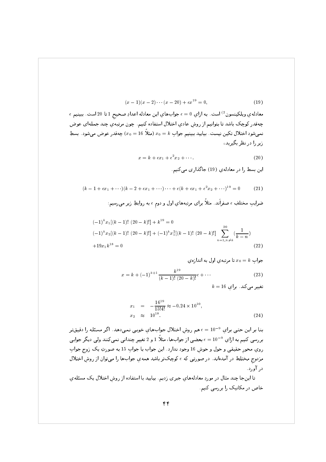$$
(x-1)(x-2)\cdots(x-20) + \epsilon x^{19} = 0,
$$
\n(19)

 $\epsilon$  معادله $\epsilon$  ويلكينسون $^{(2)}$  است. به ازاى  $\epsilon=0$  جواب $d$ ي اين معادله اعدادِ صحيح 1 تا 20 است. ببينيم چهقدر کوچک باشد تا بتوانیم از روش عادی اختلال استفاده کنیم. چون مرتبهی چند جملهای عوض نمي شود اختلال تكين نيست. بياييد ببينيم جواب  $k$  = 16 (مثلاً 16 = 70) چەقدر عوض مي شود . بسطِ زیر را در نظر بگیرید،

$$
x = k + \epsilon x_1 + \epsilon^2 x_2 + \cdots
$$
 (20)

اين بسط را در معادلهي (19) جاگذاري مي كنيم.

$$
(k-1+\epsilon x_1+\cdots)(k-2+\epsilon x_1+\cdots)\cdots+\epsilon(k+\epsilon x_1+\epsilon^2 x_2+\cdots)^{19}=0
$$
 (21)

ضرایبِ مختلفِ  $\epsilon$  صفراَند. مثلاً برای مرتبههایِ اول و دوم  $\epsilon$  به روابطِ زیر میرسیم:

$$
(-1)^{k} x_{1}[(k-1)! (20-k)!] + k^{19} = 0
$$
  

$$
(-1)^{k} x_{2}[(k-1)! (20-k)!] + (-1)^{k} x_{1}^{2}[(k-1)! (20-k)!] \sum_{n=1, n \neq k}^{20} \left(\frac{1}{k-n}\right)
$$
  

$$
+19x_{1}k^{18} = 0
$$
 (22)

$$
\mathcal{L} = x_0 = k
$$
تنا مرتب*ه*ي اول به انداز*ه ي*

$$
x = k + (-1)^{k+1} \frac{k^{19}}{(k-1)! (20-k)!} \epsilon + \cdots
$$
 (23)

 $k = 16$  تغییر میکند. برای

$$
x_1 = -\frac{16^{19}}{15!4!} \approx -0.24 \times 10^{10},
$$
  
\n
$$
x_2 \approx 10^{18}.
$$
 (24)

بنا بر این حتبی برای <sup>9-</sup>10 = e هم روش اختلال جوابهای خوبی نمیدهد. اگر مسئله را دقیقتر بررسی کنیم به ازای  $\epsilon=10^{-9}$  بعضی از جوابها، مثلاً 1 و 2 تغییر چندانی نمی کنند ولی دیگر جوابی روی محور حقیقی و حول و حوش 16 وجود ندارد. این جواب با جواب 15 به صورتِ یک زوج جواب مزدوج مختلط در آمدهاند. در صورتی که ٤ کوچکتر باشد همهي جوابها را میتوان از روش اختلال در آورد.

تا اینجا چند مثال در موردِ معادلههای جبری زدیم. بیایید با استفاده از روش اختلال یک مسئلهی خاص در مکانیک را بررسی کنیم.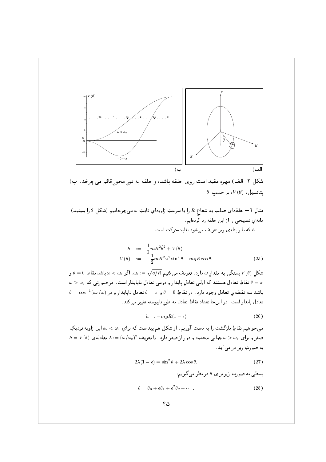



مثالِ ٦– حلقهاى صلب به شعاع R را با سرعتِ زاويهاي ثابتِ ω مىچرخانيم (شكل 2 را ببينيد). دانهی تسبیحی را از این حلقه رد کردهایم. . که با رابطهی زیر تعریف می شود، ثابتِحرکت است  $h$ 

$$
h := \frac{1}{2} m R^2 \dot{\theta}^2 + V(\theta)
$$
  

$$
V(\theta) := -\frac{1}{2} m R^2 \omega^2 \sin^2 \theta - mgR \cos \theta.
$$
 (25)

شکل  $V(\theta)$  بستگی به مقدار  $\omega$  دارد . تعریف می $\sqrt{g/R} \approx \omega_c := \sqrt{g/R}$  . اگر  $\omega < \omega$  باشد نقاطِ  $V(\theta)$  و  $\omega > \omega_c$  نقاطِ تعادل هستند که اولیی تعادل پایدار و دومی تعادل ناپایدار است. در صورتبی که  $\omega = \pi$  $\theta = \cos^{-1}(\omega_c/\omega)$  باشد سه نقطهى تعادل وجود دارد. در نقاطِ  $\theta = \theta$  و  $\pi = \theta$  تعادل ناپايدار و در تعادل پايدار است. در اينجا تعدادِ نقاطِ تعادل به طور ناپيوسته تغيير مي كند.

$$
h =: -mgR(1 - \epsilon) \tag{26}
$$

میخواهیم نقاطِ بازگشت را به دست آوریم. از شکل هم پیداست که برایِ  $\omega < \omega_c$  این زاویه نزدیکِ  $h = V(\theta)$  صفر و برای  $\omega_c \approx \omega_c$  جوابی محدود و دور از صفر دارد. با تعریفِ  $(\omega/\omega_c)^2 = \lambda := (\omega/\omega_c)^2$ به صورتِ زیر در می آید.

$$
2\lambda(1 - \epsilon) = \sin^2 \theta + 2\lambda \cos \theta. \tag{27}
$$

بسطی به صورتِ زیر برای  $\theta$  در نظر می گیریم،

$$
\theta = \theta_0 + \epsilon \theta_1 + \epsilon^2 \theta_2 + \cdots \tag{28}
$$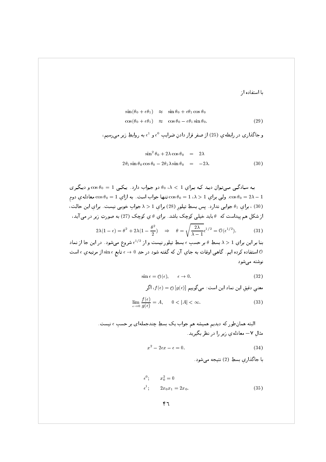با استفاده از

$$
\sin(\theta_0 + \epsilon \theta_1) \approx \sin \theta_0 + \epsilon \theta_1 \cos \theta_0
$$
  

$$
\cos(\theta_0 + \epsilon \theta_1) \approx \cos \theta_0 - \epsilon \theta_1 \sin \theta_0.
$$
 (29)

$$
\sin^2 \theta_0 + 2\lambda \cos \theta_0 = 2\lambda
$$
  

$$
2\theta_1 \sin \theta_0 \cos \theta_0 - 2\theta_1 \lambda \sin \theta_0 = -2\lambda.
$$
 (30)

به سادگی میتوان دید که برای 1 $\lambda < 1$ ، % دو جواب دارد. یکی 1 $\theta_0 = \cos \theta_0 = \cos \theta_0$  و دیگری دوم  $\cos \theta_0 = 1$  . ولي براي  $1 \wedge 1 = \cos \theta_0 = 1$  تنها جواب است. به ازاي  $\cos \theta_0 = 1$  معادلهي دوم (30) ، براي 41 جوابي ندارد. پس بسطِ تيلور (28) براي 1 < ٨ جوابِ خوبي نيست. براي اين حالت، از شکل هم پيداست که θ بايد خيلي کوچک باشد. براي θ ي کوچک (27) به صورتِ زير در مي آيد،

$$
2\lambda(1-\epsilon) = \theta^2 + 2\lambda(1-\frac{\theta^2}{2}) \quad \Rightarrow \quad \theta = \sqrt{\frac{2\lambda}{\lambda - 1}}\epsilon^{1/2} = \mathcal{O}(\epsilon^{1/2}).\tag{31}
$$

بنا بر این برایِ 1 $\lambda>1$  بسطِ  $\theta$  بر حسبِ  $\epsilon$  بسطِ تیلور نیست و از  $\epsilon^{1/2}$  شروع میشود. در این جا از نماد استفاده کرده ایم. گاهبی اوقات به جایِ آن که گفته شود در حدِ 0 → e تابع  $\sin\epsilon$  از مرتبه $\epsilon$  و است  $\theta$ نوشته می شود

$$
\sin \epsilon = \mathcal{O}(\epsilon), \qquad \epsilon \to 0. \tag{32}
$$

معني دقيقِ اين نماد اين است: می گويیم 
$$
f(\epsilon) = 0
$$
  $[g(\epsilon)]$  میتی نماد این است:  
\n
$$
\lim_{\epsilon \to 0} \frac{f(\epsilon)}{g(\epsilon)} = A, \qquad 0 < |A| < \infty.
$$
\n(33)

$$
x^2 - 2\epsilon x - \epsilon = 0.\tag{34}
$$

با جاگذاری بسطِ (2) نتیجه می شود.

$$
\epsilon^0; \qquad x_0^2 = 0
$$
  

$$
\epsilon^1; \qquad 2x_0 x_1 = 2x_0.
$$
 (35)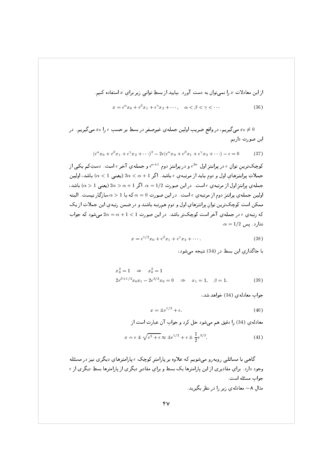از این معادلات x را نمی توان به دست آورد. بیایید از بسطِ توانی زیر برای  $x$  استفاده کنیم.

 $x = e^{\alpha} x_0 + e^{\beta} x_1 + e^{\gamma} x_2 + \cdots$   $\alpha < \beta < \gamma < \cdots$  $(36)$ 

می گیریم، در واقع ضریب اولین جمله ی غیرصفر در بسطِ بر حسب  $\epsilon$  را  $x_0$  می گیریم. در  $x_0\neq 0$ این صورت داریم

> $(\epsilon^{\alpha} x_0 + \epsilon^{\beta} x_1 + \epsilon^{\gamma} x_2 + \cdots)^2 - 2\epsilon (\epsilon^{\alpha} x_0 + \epsilon^{\beta} x_1 + \epsilon^{\gamma} x_2 + \cdots) - \epsilon = 0$  $(37)$

کوچکترین توانِ <sub>€</sub> در پرانتز اول <sup>2</sup>″ه و در پرانتز دوم <sup>4+</sup>¢ و جملهي آخر ٤ است. دستِکم يکي از جملاتِ پرانتزهاي اول و دوم بايد از مرتبه ي $\epsilon$  باشد. اگر 1 $\alpha < \alpha < 2$  (يعنى 1 $\alpha < 1$  باشد، اولين جمله ی پرانتز اول از مرتبه ی  $\epsilon$  است. در این صورت  $\alpha = 1/2$  . اگر 1 $\alpha > 2$  (یعنی 1 $\alpha > 1$  باشد، اولین جملهی پرانتز دوم از مرتبهی  $\epsilon$  است. در این صورت  $\alpha=0$  که با 1 $\alpha>0$  سازگار نیست. البته ممکن است کوچکترین توان پرانتزهای اول و دوم همرتبه باشند و در ضمن رتبهی این جملات از یک که رتبهی  $\epsilon$  در جملهی آخر است کوچکتر باشد. در این صورت 1 $1 < \alpha = 2$  می شود که جواب  $\alpha = 1/2$  ندارد. پس

$$
x = \epsilon^{1/2} x_0 + \epsilon^{\beta} x_1 + \epsilon^{\gamma} x_2 + \cdots
$$
 (38)

یا جاگذاری این بسط در (34) نتیجه می شود،

$$
x_0^2 = 1 \Rightarrow x_0^2 = 1
$$
  

$$
2e^{\beta + 1/2}x_0x_1 - 2e^{3/2}x_0 = 0 \Rightarrow x_1 = 1, \beta = 1.
$$
 (39)

جواب معادلهی (34) خواهد شد،

$$
x = \pm \epsilon^{1/2} + \epsilon. \tag{40}
$$

معادلهي (34) را دقيق هم مي شود حل كرد و جواب آن عبارت است از

$$
x = \epsilon \pm \sqrt{\epsilon^2 + \epsilon} \approx \pm \epsilon^{1/2} + \epsilon \pm \frac{1}{2} \epsilon^{3/2}.
$$
 (41)

گاهبی با مسائلبی روبه٫و میشویم که علاوه بر پارامتر کوچکِ ٤ پارامترهای دیگری نیز در مسئله وجود دارد . برای مقادیری از این پارامترها یک بسط و برای مقادیر دیگری از پارامترها بسطِ دیگری از <sub>f</sub> جواب مسئله است. مثال ۸– معادله ی زیر را در نظر بگیرید.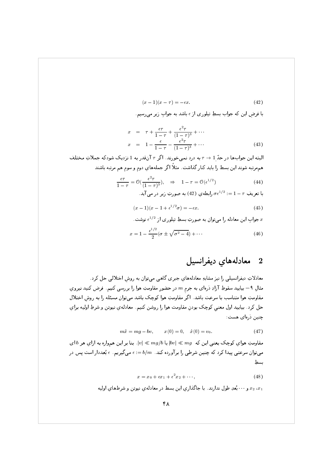$$
(x-1)(x-\tau) = -\epsilon x.\tag{42}
$$

با فرض این که جواب بسطِ تیلوری از <sub>f</sub> باشد به جواب زیر می رسیم.

$$
x = \tau + \frac{\epsilon \tau}{1 - \tau} + \frac{\epsilon^2 \tau}{(1 - \tau)^3} + \cdots
$$
  
\n
$$
x = 1 - \frac{\epsilon}{1 - \tau} - \frac{\epsilon^2 \tau}{(1 - \tau)^3} + \cdots
$$
 (43)

البته این جوابها در حدّ 1 $\tau \rightarrow \tau$  به درد نمیخورند. اگر  $\tau$  آنقدر به 1 نزدیک شودکه جملاتِ مختلف همهرتبه شوند این بسط را باید کنار گذاشت. مثلاً اگر جملههای دوم و سوم هم مرتبه باشند

$$
\frac{\epsilon \tau}{1 - \tau} = \mathcal{O}\left(\frac{\epsilon^2 \tau}{(1 - \tau)^3}\right), \quad \Rightarrow \quad 1 - \tau = \mathcal{O}\left(\epsilon^{1/2}\right) \tag{44}
$$
\n
$$
\mathcal{O}\left(\frac{1}{\epsilon}\right) = \mathcal{O}\left(\frac{\epsilon^2 \tau}{\epsilon^2}\right) \quad \text{(45)}
$$

$$
(\pi - 1)(\pi - 1 + \frac{1}{2})
$$
 (45)

$$
(x-1)(x-1+\epsilon^{1/2}\sigma) = -\epsilon x.\tag{45}
$$

$$
x = e^{1/2}
$$
 این معادله را میتوان به صورتِ بسطِ تیلوری از <sup>1/2</sup> نوشت.

$$
x = 1 - \frac{\epsilon^{1/2}}{2} (\sigma \pm \sqrt{\sigma^2 - 4}) + \cdots \tag{46}
$$

## معادلههای دیفرانسیل  $\bf{2}$

معادلاتِ دیفرانسیلی را نیز مشابهِ معادلههای جبری گاهی میتوان به روش اختلالی حل کرد. مثال ۹ – بیایید سقوطِ آزادِ ذرهای به جرم  $m$  در حضور مقاومتِ هوا را بررسی کنیم. فرض کنید نیروی مقاومتِ هوا متناسب با سرعت باشد. اگر مقاومتِ هوا كوچك باشد مىتوان مسئله را به روش اختلال حل كرد. بياييد اول معنى كوچک بودنِ مقاومت هوا را روشن كنيم. معادلهي نيوتن و شرطِ اوليه براي چنین ذرمای هست:

$$
m\ddot{x} = mg - bv, \qquad x(0) = 0, \quad \dot{x}(0) = v_0. \tag{47}
$$

مقاومتِ هوای کوچک یعنبی این که  $|bv| \ll m$  یا  $|v| \ll m$  . بنا بر این همواره به ازای هر  $b$  ای میتوان سرعتی پیدا کرد که چنین شرطی را بر آورده کند.  $m=1$  = ، میگیریم.  $\epsilon$  بُعددار است پس در بسطِ

$$
x = x_0 + \epsilon x_1 + \epsilon^2 x_2 + \cdots, \tag{48}
$$

و ۰۰۰ بُعدِ طول ندارند. با جاگذاري اين بسط در معادلهي نيوتن و شرطهاي اوليه  $x_2$  ، $x_1$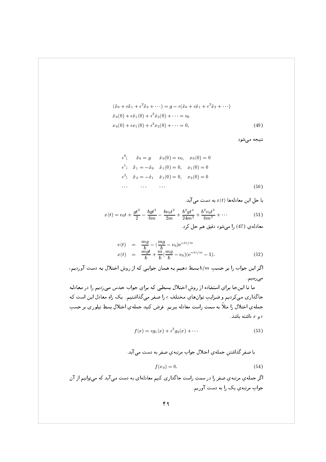$$
(\ddot{x}_0 + \epsilon \ddot{x}_1 + \epsilon^2 \ddot{x}_2 + \cdots) = g - \epsilon (\dot{x}_0 + \epsilon \dot{x}_1 + \epsilon^2 \dot{x}_2 + \cdots)
$$
  
\n
$$
\dot{x}_0(0) + \epsilon \dot{x}_1(0) + \epsilon^2 \dot{x}_2(0) + \cdots = v_0
$$
  
\n
$$
x_0(0) + \epsilon x_1(0) + \epsilon^2 x_2(0) + \cdots = 0,
$$
\n(49)

نتيجه مي شود

$$
\epsilon^{0}; \quad \ddot{x}_{0} = g \quad \dot{x}_{0}(0) = v_{0}, \quad x_{0}(0) = 0
$$
  
\n
$$
\epsilon^{1}; \quad \ddot{x}_{1} = -\dot{x}_{0} \quad \dot{x}_{1}(0) = 0, \quad x_{1}(0) = 0
$$
  
\n
$$
\epsilon^{2}; \quad \ddot{x}_{2} = -\dot{x}_{1} \quad \dot{x}_{1}(0) = 0, \quad x_{2}(0) = 0
$$
  
\n... ... ... (50)

با حلِ این معادلدها 
$$
x(t)
$$
ه دست می آید.

$$
x(t) = v_0 t + \frac{gt^2}{2} - \frac{bgt^3}{6m} - \frac{b v_0 t^2}{2m} + \frac{b^2 gt^4}{24m^2} + \frac{b^2 v_0 t^3}{6m^2} + \cdots
$$
 (51)

 $\mathcal{P} \subset \mathcal{P}$  .  $\mathcal{P} \subset \mathcal{P}$  .  $\mathcal{P} \subset \mathcal{P}$ 

$$
v(t) = \frac{mg}{b} - (\frac{mg}{b} - v_0)e^{-bt/m}
$$
  
\n
$$
x(t) = \frac{mgt}{b} + \frac{m}{b}(\frac{mg}{b} - v_0)(e^{-bt/m} - 1).
$$
\n(52)

اگر این جواب را بر حسبِ  $b/m$  بسط دهیم به همان جوابی که از روشِ اختلال به دست آوردیم، 76(->0

ما تا ايـنجا براي استفاده از روشِ اختلال بـسطى كـه بـراي جواب حـدس مـىزديـم را در معادلـه جاگذاری میکردیم و ضرایبِ توانهایِ مختلفِ ¢ را صفر میگذاشتیم. یک راهِ معادل این است که جمله ي اختلال را مثلاً به سمتٍ راستٍ معادله ببريم. فرض كنيد جمله ي اختلال بسطٍ تيلوري بر حسبٍ و  $x$  داشته باشد.

$$
f(x) = \epsilon g_1(x) + \epsilon^2 g_2(x) + \cdots \tag{53}
$$

با صفر گذاشتنِ جملهي اختلال جوابِ مرتبهي صفر به دست مي آيد.

$$
f(x_0) = 0.\t\t(54)
$$

 ; 6L>0 +& >0 ( + .+D0 6& . -Y@ (- A( - - % . +L0 . +HA@ 76 - 197 - 198 - 198 - 198 - 198 - 198 - 198 - 198 - 198 - 198 - 198 - 198 - 198 - 198 - 198 - 198 - 198 - 198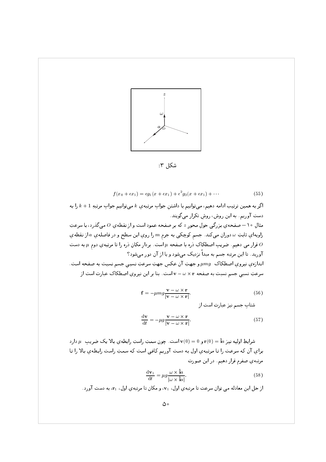

شكل ٣:

$$
f(x_0 + \epsilon x_1) = \epsilon g_1(x + \epsilon x_1) + \epsilon^2 g_2(x + \epsilon x_1) + \cdots
$$
 (55)

 $\mathbf{y} = \mathbf{y} - \mathbf{y}$  .  $\mathbf{y} = \mathbf{y} - \mathbf{y}$  .  $\mathbf{y} = \mathbf{y} - \mathbf{y}$  . Then  $\mathbf{y} = \mathbf{y} - \mathbf{y}$ 7 >0 -PL S - S - J + 76 - ( مثالِ ۱۰– صفحهي بزرگي حولِ محورِ z که بر صفحه عمود است و از نقطهي 0 ميگذرد، با سرعتِ ری پ ، ۔ روی ی ، ، ، ر<sub>ا</sub> د کری یی ، او در است می در د به سپ  $\begin{bmatrix} 1 & 0 & 0 & 0 \\ 0 & 0 & 0 & 0 \\ 0 & 0 & 0 & 0 \\ 0 & 0 & 0 & 0 \\ 0 & 0 & 0 & 0 \\ 0 & 0 & 0 & 0 \\ 0 & 0 & 0 & 0 \\ 0 & 0 & 0 & 0 \\ 0 & 0 & 0 & 0 \\ 0 & 0 & 0 & 0 \\ 0 & 0 & 0 & 0 \\ 0 & 0 & 0 & 0 \\ 0 & 0 & 0 & 0 \\ 0 & 0 & 0 & 0 \\ 0 & 0 & 0 & 0 \\ 0 & 0 & 0 & 0 & 0 \\ 0 & 0 & 0 & 0 & 0 \\ 0 &$ اور بحاف ابنی مرتجب شیستم ب-محب ترکیب می شود و ب از ان کور می شود. ر پ<sub>ی</sub>ر رپ در است در است در است در است در است در است در است در است در است در است در است در است در است در است د<br>موالی از این است در است در است در است در است در است در است در است در است در است در است در است در است در است در  $\zeta = \zeta - \zeta - \zeta$  , and  $\zeta = \zeta - \zeta - \zeta - \zeta$ 

$$
\mathbf{f} = -\mu mg \frac{\mathbf{v} - \omega \times \mathbf{r}}{|\mathbf{v} - \omega \times \mathbf{r}|}.
$$
 (56)

; ( p- " 64@ 2

$$
\frac{\mathrm{d}\mathbf{v}}{\mathrm{d}t} = -\mu g \frac{\mathbf{v} - \omega \times \mathbf{r}}{|\mathbf{v} - \omega \times \mathbf{r}|}.
$$
 (57)

سرايط اونيه نير  $\mu \sim 1$  و  $\sim 0$  است. چون سمكِ راسکِ رابطه يِ باد يک صريبِ  $\mu$  دارد براي آن كه سرعت را تا مرتبهي اول به دست آوريم كافي است كه سمتِ راست رابطهي بالا را تا p- J - 76: -- )% . +L0

$$
\frac{\mathrm{d}\mathbf{v}_1}{\mathrm{d}t} = \mu g \frac{\omega \times \hat{\mathbf{i}}a}{|\omega \times \hat{\mathbf{i}}a|}.
$$
 (58)

از حل این معادله می توان سرعت تا مرتبه ي اول، .vı، و مکان تا مرتبه ي اول، .rı، به دست آورد.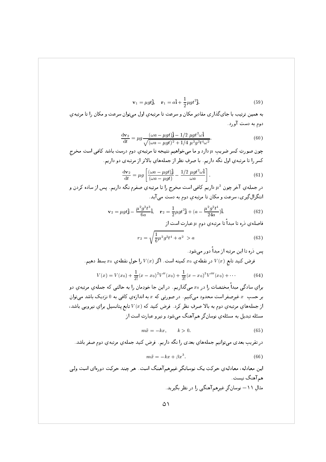$$
\mathbf{v}_1 = \mu g t \hat{\mathbf{j}}, \quad \mathbf{r}_1 = a \hat{\mathbf{i}} + \frac{1}{2} \mu g t^2 \hat{\mathbf{j}}.
$$
 (59)

به همين ترتيب با جاي گذاري مقاديرِ مكان و سرعت تا مرتبهي اول ميتوان سرعت و مكان را تا مرتبهي 7- ( + )

$$
\frac{dv_2}{dt} = \mu g \frac{(\omega a - \mu gt)\hat{j} - 1/2 \mu gt^2 \omega \hat{i}}{\sqrt{(\omega a - \mu gt)^2 + 1/4 \mu^2 g^2 t^4 \omega^2}}.
$$
(60)

پورٹ کرد کی دیا ہے اور اس کی دستا ہے اور اس میں اس کی اس کی اس کی اس کی اس کی اس کی اس کی اس کی اس کی اس کی اس<br>منابع اللہ کی اس کی اس کی اس کی اس کی اس کی اس کی اس کی اس کی اس کی اس کی اس کی اس کی اس کی اس کی اس کی اس کی كسر را تا مرتبه ي اول نگه داريم. با صرفِ نظر از جملههاي بالاتر از مرتبهى دو داريم.

$$
\frac{\mathrm{d}\mathbf{v}_2}{\mathrm{d}t} = \mu g \left[ \frac{(\omega a - \mu g t)}{(\omega a - \mu g t)} - \frac{1/2 \mu g t^2 \omega \hat{\mathbf{i}}}{\omega a} \right].
$$
 (61)

در جمله *ي* آخر چوڻ - الا داريم ٿافي است محرج را تا مرتبه *ي صفر*م نگه داريم. پس از ساده تردن و انتگرال گيري، سرعت و مکان تا مرتبهي دوم به دست مي آيد.

$$
\mathbf{v}_2 = \mu g t \hat{\mathbf{j}} - \frac{\mu^2 g^2 t^3}{6a} \hat{\mathbf{i}}, \quad \mathbf{r}_2 = \frac{1}{2} \mu g t^2 \hat{\mathbf{j}} + (a - \frac{\mu^2 g^2 t^4}{24a}) \hat{\mathbf{i}}.
$$
 (62)

**ت علمه** في عرف ما منبعه به مكرم منها في عادر الم منها رحم الملك ال

$$
r_2 = \sqrt{\frac{1}{6}\mu^2 g^2 t^4 + a^2} > a \tag{63}
$$

حمل درد ت این مرتعب از ممکن دور می شود. فرض كنيد تابع  $V(x)$  در نقطهي  $x_{0}$  كمينه است. اگر  $V(x)$  را حولِ نقطهي  $x_{0}$  بسط دهيم.

$$
V(x) = V(x_0) + \frac{1}{2!}(x - x_0)^2 V''(x_0) + \frac{1}{3!}(x - x_0)^3 V'''(x_0) + \cdots
$$
 (64)

براي ساد تي مبدأ محتصات را در 20 مي تداريم. در اين جا حودمان را به حالتي كه جملهي مرتبهي دو بر حسبِ \* عيرِصفر است محدود مي تنيم. در صورتي كه \* به اندازهي كافي به U نزديك باشد ميتوان أز جملههاي مرتبهي دوم به بالا صرفِ نظر ترد. فرص تنيد ته ( $\ell(x)$  تابع پتانسيل براي نيرويي باشد، ; یں, اس کے رات کے اس اس اور رائے کر اس اور اس اور اس اور اس

$$
m\ddot{x} = -kx, \qquad k > 0. \tag{65}
$$

7 % ) . +L0 . +HA@ & ~# 76 - +Z - . . :+HA@ 6L>0 . N ,L -

$$
m\ddot{x} = -kx + \beta x^3. \tag{66}
$$

ل اس المستخدم المستخدم المستخدم المستخدم المستخدم المستخدم المستخدم المستخدم المستخدم المستخدم المستخدم المستخ هم آهنگ نیست. مثالِ ۱۱– نوسانگرِ غیرِهم آهنگی را در نظر بگیرید.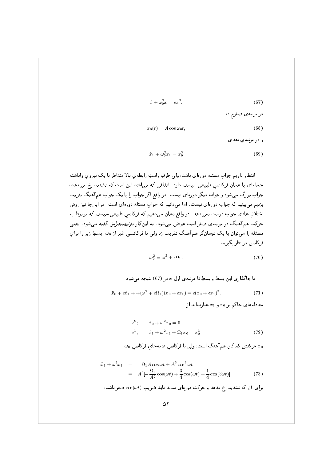$$
\ddot{x} + \omega_0^2 x = \epsilon x^3. \tag{67}
$$

 $\begin{bmatrix} 1 & 1 \\ 1 & 1 \end{bmatrix}$ 

$$
x_0(t) = A \cos \omega_0 t, \tag{68}
$$

. . +L0 -

$$
\ddot{x}_1 + \omega_0^2 x_1 = x_0^3 \tag{69}
$$

لا التاريخي المركزي المتاريخي المحتمد المتاريخي المستمركي والمستمركي والمستمركي والمستمركي والمستمركي والمستمر . ک. کار پایی از دادن کا دی است کل کا دی است که د N ,L m:6: @ ! - @ - - 74 .- Z @ 
>0 - " @ S - " @J - 7( .- +Hr40 @ +& 6>0 0 74 .- @ +& 6>0 6" اختلالِ عادی جوابِ درست نمیدهد. در واقع نشان میدهیم که فرکانسِ طبیعیِ سیستم که مربوط به - 1-1 - 1-1 - 1-1 - 1-1 - 1-1 - 1-1 - 1-1 - 1-2 - 1-2 - 1-2 - 1-2 - 1-2 - 1-2 - 1-2 - 1-2 - 1-2 - 1-2 - 1-2 - ر ای ران به ارادی با را از سال ۱۳۵۰ میلی از سال ۱۳۵۰ میلاد (در سیستم از سراس ۱۳۵۰ میلاد (در سیستم از سیستم از س Z Q - \$&#

$$
\omega_0^2 = \omega^2 + \epsilon \Omega_1. \tag{70}
$$

با جاڭداري اين بسط و بسطِ تا مرتبهي اولِ  $x$  در (67) نتيجه ميشود :

$$
\ddot{x}_0 + \epsilon \ddot{x}_1 + \left(\omega^2 + \epsilon \Omega_1\right)(x_0 + \epsilon x_1) = \epsilon (x_0 + \epsilon x_1)^3. \tag{71}
$$

معادلههاي حاكم بر  $x_0$  و  $x_1$  عبارتاند آر

$$
\epsilon^{0}; \qquad \ddot{x}_{0} + \omega^{2} x_{0} = 0 \n\epsilon^{1}; \qquad \ddot{x}_{1} + \omega^{2} x_{1} + \Omega_{1} x_{0} = x_{0}^{3}
$$
\n(72)

. $\omega_0$  حركتش كما كان هم أهنك أست، ولي با فركانسِ  $\omega$  بهجاي فركانسِ  $x_0$ 

$$
\ddot{x}_1 + \omega^2 x_1 = -\Omega_1 A \cos \omega t + A^3 \cos^3 \omega t \n= A^3 \left[ -\frac{\Omega_1}{A^2} \cos(\omega t) + \frac{3}{4} \cos(\omega t) + \frac{1}{4} \cos(3\omega t) \right].
$$
\n(73)

براي آن که تشديد رح ندهد و حرکت دورهای بماند بايد صريبِ ( $\cos(\omega t)$  صفر باشد،